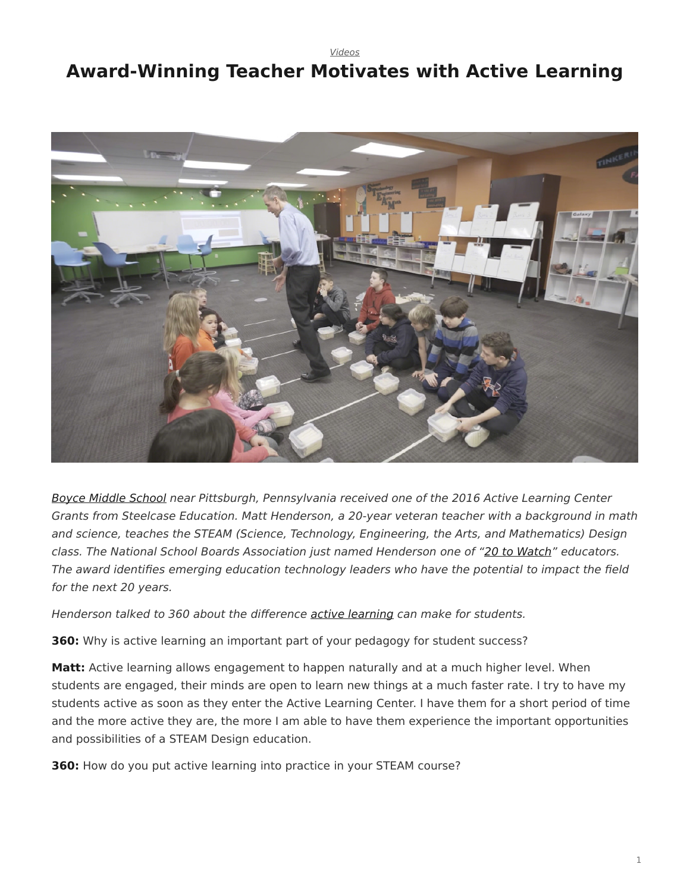[Videos](https://www.steelcase.com/research/topics/video/)

## <span id="page-0-0"></span>**Award-Winning Teacher Motivates with Active Learning**



[Boyce Middle School](https://www.uscsd.k12.pa.us/Domain/322) near Pittsburgh, Pennsylvania received one of the 2016 Active Learning Center Grants from Steelcase Education. Matt Henderson, a 20-year veteran teacher with a background in math and science, teaches the STEAM (Science, Technology, Engineering, the Arts, and Mathematics) Design class. The National School Boards Association just named Henderson one of ["20 to Watch"](https://www.nsba.org/services/technology-leadership-network/recognition-programs/20-watch) educators. The award identifies emerging education technology leaders who have the potential to impact the field for the next 20 years.

Henderson talked to 360 about the difference [active learning](https://www.steelcase.com/discover/information/education/active-learning-center-grant/?utm_source=360research&utm_medium=blog&utm_campaign=alcgrant&utm_content=boyceqa) can make for students.

**360:** Why is active learning an important part of your pedagogy for student success?

**Matt:** Active learning allows engagement to happen naturally and at a much higher level. When students are engaged, their minds are open to learn new things at a much faster rate. I try to have my students active as soon as they enter the Active Learning Center. I have them for a short period of time and the more active they are, the more I am able to have them experience the important opportunities and possibilities of a STEAM Design education.

**360:** How do you put active learning into practice in your STEAM course?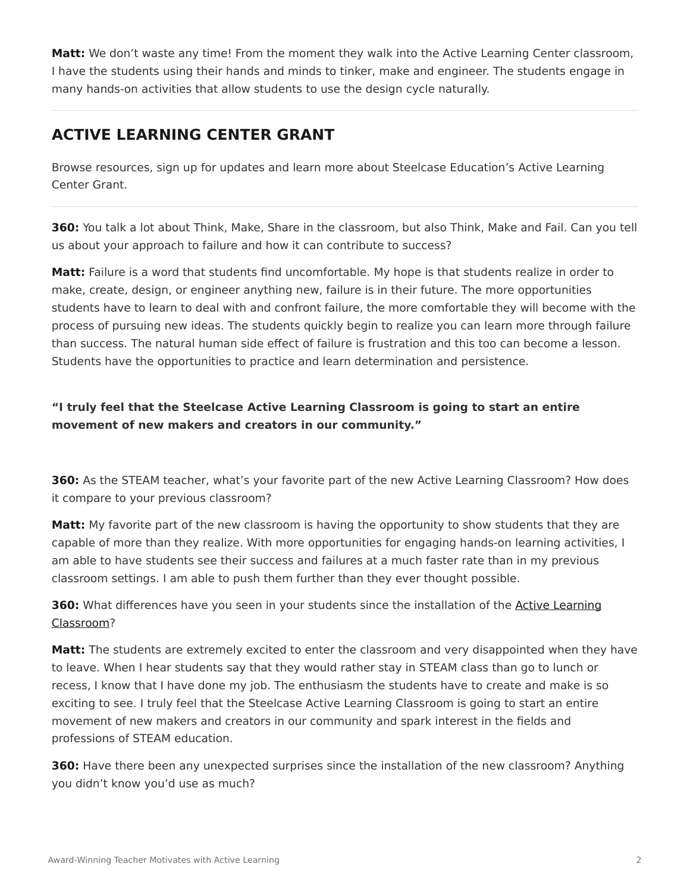**Matt:** We don't waste any time! From the moment they walk into the Active Learning Center classroom, I have the students using their hands and minds to tinker, make and engineer. The students engage in many hands-on activities that allow students to use the design cycle naturally.

## **ACTIVE LEARNING CENTER GRANT**

Browse resources, sign up for updates and learn more about Steelcase Education's Active Learning Center Grant.

**360:** You talk a lot about Think, Make, Share in the classroom, but also Think, Make and Fail. Can you tell us about your approach to failure and how it can contribute to success?

**Matt:** Failure is a word that students find uncomfortable. My hope is that students realize in order to make, create, design, or engineer anything new, failure is in their future. The more opportunities students have to learn to deal with and confront failure, the more comfortable they will become with the process of pursuing new ideas. The students quickly begin to realize you can learn more through failure than success. The natural human side effect of failure is frustration and this too can become a lesson. Students have the opportunities to practice and learn determination and persistence.

## **"I truly feel that the Steelcase Active Learning Classroom is going to start an entire movement of new makers and creators in our community."**

**360:** As the STEAM teacher, what's your favorite part of the new Active Learning Classroom? How does it compare to your previous classroom?

**Matt:** My favorite part of the new classroom is having the opportunity to show students that they are capable of more than they realize. With more opportunities for engaging hands-on learning activities, I am able to have students see their success and failures at a much faster rate than in my previous classroom settings. I am able to push them further than they ever thought possible.

**360:** What differences have you seen in your students since the installation of the [Active Learning](https://www.steelcase.com/discover/information/education/active-learning-center-grant/?utm_source=360research&utm_medium=blog&utm_campaign=alcgrant&utm_content=boyceqa) [Classroom](https://www.steelcase.com/discover/information/education/active-learning-center-grant/?utm_source=360research&utm_medium=blog&utm_campaign=alcgrant&utm_content=boyceqa)?

**Matt:** The students are extremely excited to enter the classroom and very disappointed when they have to leave. When I hear students say that they would rather stay in STEAM class than go to lunch or recess, I know that I have done my job. The enthusiasm the students have to create and make is so exciting to see. I truly feel that the Steelcase Active Learning Classroom is going to start an entire movement of new makers and creators in our community and spark interest in the fields and professions of STEAM education.

**360:** Have there been any unexpected surprises since the installation of the new classroom? Anything you didn't know you'd use as much?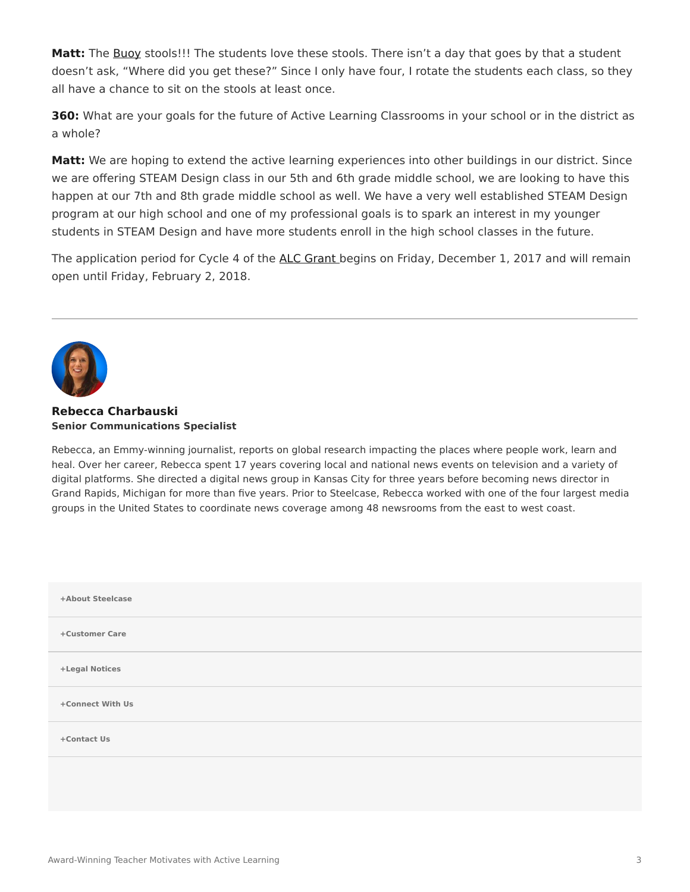**Matt:** The [Buoy](https://www.steelcase.com/products/education-lounge-seating/turnstone-buoy/) stools!!! The students love these stools. There isn't a day that goes by that a student doesn't ask, "Where did you get these?" Since I only have four, I rotate the students each class, so they all have a chance to sit on the stools at least once.

**360:** What are your goals for the future of Active Learning Classrooms in your school or in the district as a whole?

**Matt:** We are hoping to extend the active learning experiences into other buildings in our district. Since we are offering STEAM Design class in our 5th and 6th grade middle school, we are looking to have this happen at our 7th and 8th grade middle school as well. We have a very well established STEAM Design program at our high school and one of my professional goals is to spark an interest in my younger students in STEAM Design and have more students enroll in the high school classes in the future.

The application period for Cycle 4 of the [ALC Grant](https://www.steelcase.com/discover/information/education/active-learning-center-grant/?utm_source=360research&utm_medium=blog&utm_campaign=alcgrant&utm_content=boyceqa) begins on Friday, December 1, 2017 and will remain open until Friday, February 2, 2018.



## **[Rebecca Charbauski](https://www.steelcase.com/research/articles/author/rcharbausteelcase-com/) Senior Communications Specialist**

Rebecca, an Emmy-winning journalist, reports on global research impacting the places where people work, learn and heal. Over her career, Rebecca spent 17 years covering local and national news events on television and a variety of digital platforms. She directed a digital news group in Kansas City for three years before becoming news director in Grand Rapids, Michigan for more than five years. Prior to Steelcase, Rebecca worked with one of the four largest media groups in the United States to coordinate news coverage among 48 newsrooms from the east to west coast.

| +About Steelcase |  |
|------------------|--|
| +Customer Care   |  |
| +Legal Notices   |  |
| +Connect With Us |  |
| +Contact Us      |  |
|                  |  |